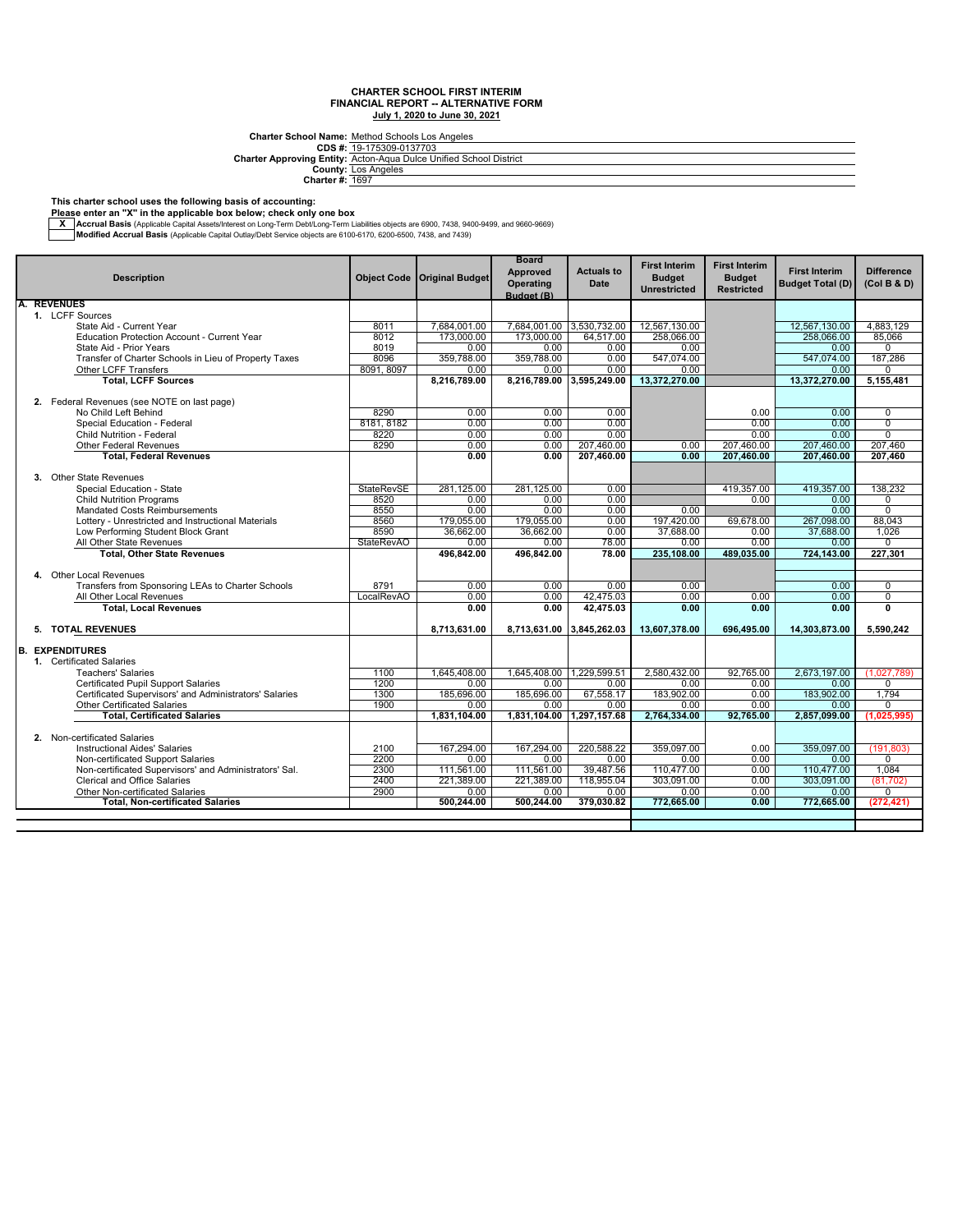**CDS #: Charter Approving Entity:** Charter School Name: <u>Method Schools Los Angeles</u><br>CDS #: <u>19-175309-0137703</u><br>Inter Approving Entity: <u>Acton-Aqua Dulce Unified School District.</u>

**County: Charter #:** Los Angeles 1697

#### **This charter school uses the following basis of accounting:**

**Please enter an "X" in the applicable box below; check only one box**

— Accrual Basis (Applicable Capital Assets/Interest on Long-Term Debt/Long-Term Liabilities objects are 6900, 7438, 9400-9499, and 9660-9669, Architect State Internal Basis (Applicable Capital Outlay/Debt Service object

|    |                                                                                          |                    |                         | <b>Board</b>            |                           | <b>First Interim</b>    | <b>First Interim</b> |                         |                         |
|----|------------------------------------------------------------------------------------------|--------------------|-------------------------|-------------------------|---------------------------|-------------------------|----------------------|-------------------------|-------------------------|
|    | <b>Description</b>                                                                       | <b>Object Code</b> | <b>Original Budget</b>  | <b>Approved</b>         | <b>Actuals to</b>         | <b>Budget</b>           | <b>Budget</b>        | <b>First Interim</b>    | <b>Difference</b>       |
|    |                                                                                          |                    |                         | Operating               | Date                      |                         |                      | <b>Budget Total (D)</b> | (Col B & D)             |
|    |                                                                                          |                    |                         | Budget (B)              |                           | <b>Unrestricted</b>     | <b>Restricted</b>    |                         |                         |
|    | <b>REVENUES</b>                                                                          |                    |                         |                         |                           |                         |                      |                         |                         |
|    | 1. LCFF Sources                                                                          |                    |                         |                         |                           |                         |                      |                         |                         |
|    | State Aid - Current Year                                                                 | 8011               | 7,684,001.00            |                         | 7,684,001.00 3,530,732.00 | 12,567,130.00           |                      | 12.567.130.00           | 4.883.129               |
|    | <b>Education Protection Account - Current Year</b>                                       | 8012               | 173.000.00              | 173,000.00              | 64,517.00                 | 258.066.00              |                      | 258.066.00              | 85.066                  |
|    | State Aid - Prior Years                                                                  | 8019               | 0.00                    | 0.00                    | 0.00                      | 0.00                    |                      | 0.00                    | $\Omega$                |
|    | Transfer of Charter Schools in Lieu of Property Taxes                                    | 8096               | 359.788.00              | 359,788.00              | 0.00                      | 547.074.00              |                      | 547.074.00              | 187.286                 |
|    | Other LCFF Transfers                                                                     | 8091, 8097         | 0.00                    | 0.00                    | 0.00                      | 0.00                    |                      | 0.00                    | $\Omega$                |
|    | <b>Total, LCFF Sources</b>                                                               |                    | 8,216,789.00            |                         | 8,216,789.00 3,595,249.00 | 13,372,270.00           |                      | 13,372,270.00           | 5,155,481               |
|    |                                                                                          |                    |                         |                         |                           |                         |                      |                         |                         |
|    | 2. Federal Revenues (see NOTE on last page)                                              |                    |                         |                         |                           |                         |                      |                         |                         |
|    | No Child Left Behind                                                                     | 8290               | 0.00                    | 0.00                    | 0.00                      |                         | 0.00                 | 0.00                    | 0                       |
|    | Special Education - Federal                                                              | 8181, 8182         | 0.00                    | 0.00                    | 0.00                      |                         | 0.00                 | 0.00                    | $\overline{0}$          |
|    | <b>Child Nutrition - Federal</b>                                                         | 8220               | 0.00                    | 0.00                    | 0.00                      |                         | 0.00                 | 0.00                    | $\overline{0}$          |
|    | Other Federal Revenues                                                                   | 8290               | 0.00                    | 0.00                    | 207.460.00                | 0.00                    | 207,460.00           | 207.460.00              | 207.460                 |
|    | <b>Total, Federal Revenues</b>                                                           |                    | 0.00                    | 0.00                    | 207,460.00                | 0.00                    | 207,460.00           | 207,460.00              | 207,460                 |
|    | 3. Other State Revenues                                                                  |                    |                         |                         |                           |                         |                      |                         |                         |
|    | Special Education - State                                                                | <b>StateRevSE</b>  | 281.125.00              | 281.125.00              | 0.00                      |                         | 419.357.00           | 419.357.00              | 138,232                 |
|    | <b>Child Nutrition Programs</b>                                                          | 8520               | 0.00                    | 0.00                    | 0.00                      |                         | 0.00                 | 0.00                    | 0                       |
|    | Mandated Costs Reimbursements                                                            | 8550               | 0.00                    | 0.00                    | 0.00                      | 0.00                    |                      | 0.00                    | $\overline{0}$          |
|    |                                                                                          | 8560               |                         |                         | 0.00                      |                         |                      |                         | 88,043                  |
|    | Lottery - Unrestricted and Instructional Materials<br>Low Performing Student Block Grant | 8590               | 179,055.00<br>36,662.00 | 179,055.00<br>36,662.00 | 0.00                      | 197,420.00<br>37,688.00 | 69,678.00<br>0.00    | 267,098.00<br>37,688.00 | 1,026                   |
|    | All Other State Revenues                                                                 | <b>StateRevAO</b>  | 0.00                    | 0.00                    | 78.00                     | 0.00                    | 0.00                 | 0.00                    | 0                       |
|    | <b>Total, Other State Revenues</b>                                                       |                    | 496,842.00              | 496.842.00              | 78.00                     | 235,108.00              | 489,035.00           | 724,143.00              | 227,301                 |
|    |                                                                                          |                    |                         |                         |                           |                         |                      |                         |                         |
|    | 4. Other Local Revenues                                                                  |                    |                         |                         |                           |                         |                      |                         |                         |
|    | Transfers from Sponsoring LEAs to Charter Schools                                        | 8791               | 0.00                    | 0.00                    | 0.00                      | 0.00                    |                      | 0.00                    | $\overline{0}$          |
|    | All Other Local Revenues                                                                 | LocalRevAO         | 0.00                    | 0.00                    | 42.475.03                 | 0.00                    | 0.00                 | 0.00                    | $\overline{0}$          |
|    | <b>Total, Local Revenues</b>                                                             |                    | 0.00                    | 0.00                    | 42,475.03                 | 0.00                    | 0.00                 | 0.00                    | $\overline{\mathbf{0}}$ |
|    |                                                                                          |                    |                         |                         |                           |                         |                      |                         |                         |
|    | 5. TOTAL REVENUES                                                                        |                    | 8,713,631.00            | 8,713,631.00            | 3,845,262.03              | 13,607,378.00           | 696,495.00           | 14,303,873.00           | 5,590,242               |
|    |                                                                                          |                    |                         |                         |                           |                         |                      |                         |                         |
| B. | <b>EXPENDITURES</b>                                                                      |                    |                         |                         |                           |                         |                      |                         |                         |
|    | 1. Certificated Salaries                                                                 |                    |                         |                         |                           |                         |                      |                         |                         |
|    | <b>Teachers' Salaries</b>                                                                | 1100               | 1.645.408.00            | 1.645.408.00            | 1,229,599.51              | 2.580.432.00            | 92.765.00            | 2.673.197.00            | (1,027,789)             |
|    | <b>Certificated Pupil Support Salaries</b>                                               | 1200               | 0.00                    | 0.00                    | 0.00                      | 0.00                    | 0.00                 | 0.00                    | 0                       |
|    | Certificated Supervisors' and Administrators' Salaries                                   | 1300               | 185,696,00              | 185,696.00              | 67.558.17                 | 183,902.00              | 0.00                 | 183,902.00              | 1.794                   |
|    | <b>Other Certificated Salaries</b>                                                       | 1900               | 0.00                    | 0.00                    | 0.00                      | 0.00                    | 0.00                 | 0.00                    | 0                       |
|    | <b>Total, Certificated Salaries</b>                                                      |                    | 1,831,104.00            |                         | 1,831,104.00 1,297,157.68 | 2,764,334.00            | 92,765.00            | 2,857,099.00            | (1,025,995)             |
|    |                                                                                          |                    |                         |                         |                           |                         |                      |                         |                         |
|    | 2. Non-certificated Salaries                                                             |                    |                         |                         |                           |                         |                      |                         |                         |
|    | <b>Instructional Aides' Salaries</b>                                                     | 2100               | 167,294.00              | 167,294.00              | 220,588.22                | 359,097.00              | 0.00                 | 359,097.00              | (191, 803)              |
|    | Non-certificated Support Salaries                                                        | 2200               | 0.00                    | 0.00                    | 0.00                      | 0.00                    | 0.00                 | 0.00                    | 0                       |
|    | Non-certificated Supervisors' and Administrators' Sal.                                   | 2300               | 111,561.00              | 111,561.00              | 39,487.56                 | 110,477.00              | 0.00                 | 110,477.00              | 1,084                   |
|    | Clerical and Office Salaries                                                             | 2400               | 221.389.00              | 221.389.00              | 118.955.04                | 303.091.00              | 0.00                 | 303.091.00              | (81.702)                |
|    | <b>Other Non-certificated Salaries</b>                                                   | 2900               | 0.00                    | 0.00                    | 0.00                      | 0.00                    | 0.00                 | 0.00                    | 0                       |
|    | <b>Total, Non-certificated Salaries</b>                                                  |                    | 500,244.00              | 500,244.00              | 379,030.82                | 772,665.00              | 0.00                 | 772,665.00              | (272, 421)              |
|    |                                                                                          |                    |                         |                         |                           |                         |                      |                         |                         |
|    |                                                                                          |                    |                         |                         |                           |                         |                      |                         |                         |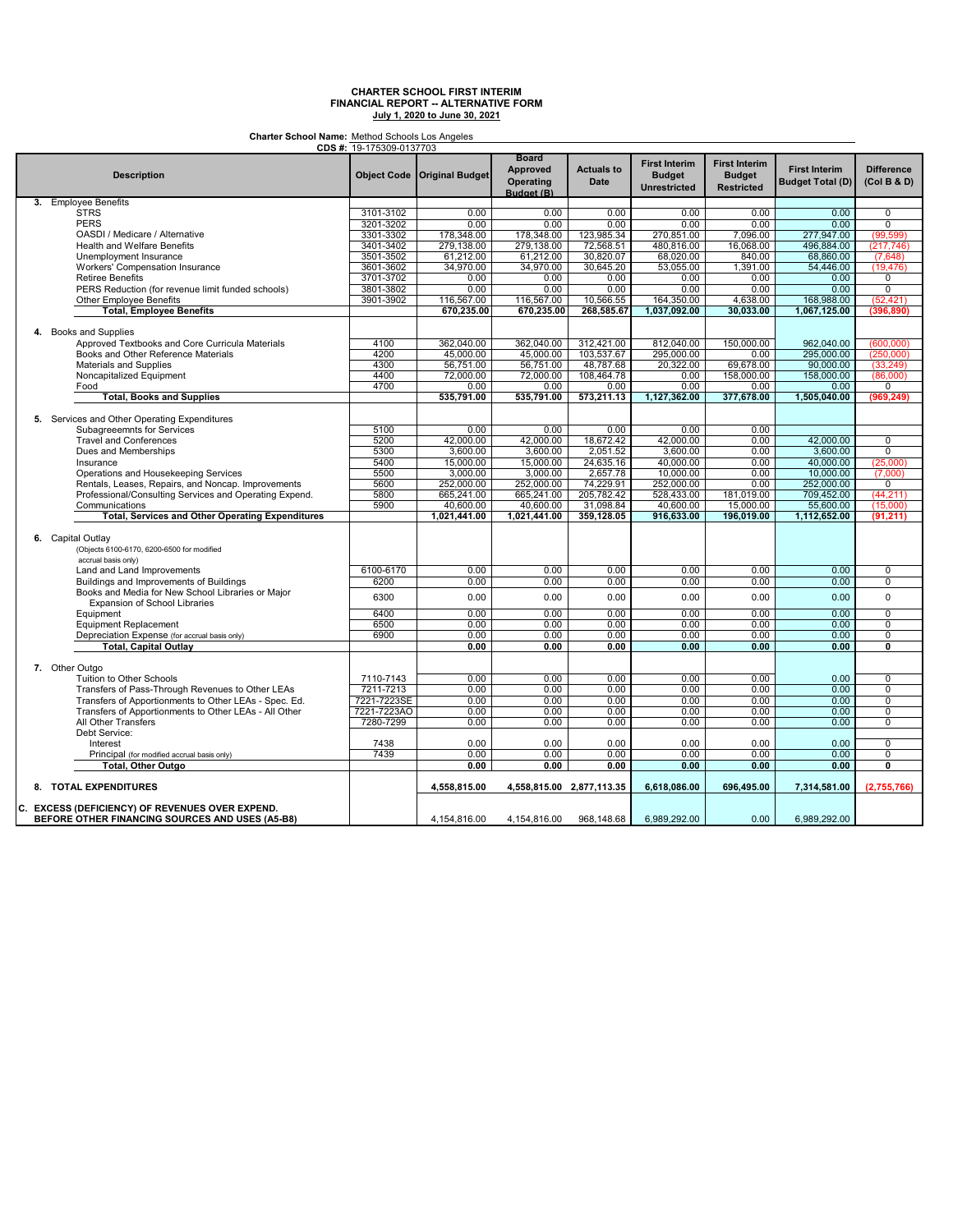**Charter School Name:** Method Schools Los Angeles

|                                                         | CDS #: 19-175309-0137703 |                               |                                                            |                                  |                                                              |                                                            |                                                 |                                  |
|---------------------------------------------------------|--------------------------|-------------------------------|------------------------------------------------------------|----------------------------------|--------------------------------------------------------------|------------------------------------------------------------|-------------------------------------------------|----------------------------------|
| <b>Description</b>                                      |                          | Object Code   Original Budget | <b>Board</b><br><b>Approved</b><br>Operating<br>Budget (B) | <b>Actuals to</b><br><b>Date</b> | <b>First Interim</b><br><b>Budget</b><br><b>Unrestricted</b> | <b>First Interim</b><br><b>Budget</b><br><b>Restricted</b> | <b>First Interim</b><br><b>Budget Total (D)</b> | <b>Difference</b><br>(Col B & D) |
| 3. Employee Benefits                                    |                          |                               |                                                            |                                  |                                                              |                                                            |                                                 |                                  |
| <b>STRS</b>                                             | 3101-3102                | 0.00                          | 0.00                                                       | 0.00                             | 0.00                                                         | 0.00                                                       | 0.00                                            | $\mathbf 0$                      |
| <b>PERS</b>                                             | 3201-3202                | 0.00                          | 0.00                                                       | 0.00                             | 0.00                                                         | 0.00                                                       | 0.00                                            | $\overline{0}$                   |
| OASDI / Medicare / Alternative                          | 3301-3302                | 178,348.00                    | 178,348.00                                                 | 123,985.34                       | 270,851.00                                                   | 7,096.00                                                   | 277.947.00                                      | (99, 599)                        |
| <b>Health and Welfare Benefits</b>                      | 3401-3402                | 279,138.00                    | 279,138.00                                                 | 72,568.51                        | 480,816.00                                                   | 16,068.00                                                  | 496,884.00                                      | (217, 746)                       |
|                                                         |                          |                               |                                                            |                                  |                                                              |                                                            |                                                 |                                  |
| Unemployment Insurance                                  | 3501-3502                | 61,212.00                     | 61,212.00                                                  | 30,820.07                        | 68,020.00                                                    | 840.00                                                     | 68,860.00                                       | (7,648)                          |
| Workers' Compensation Insurance                         | 3601-3602                | 34,970.00                     | 34,970.00                                                  | 30,645.20                        | 53,055.00                                                    | 1,391.00                                                   | 54,446.00                                       | (19, 476)                        |
| <b>Retiree Benefits</b>                                 | 3701-3702                | 0.00                          | 0.00                                                       | 0.00                             | 0.00                                                         | 0.00                                                       | 0.00                                            | 0                                |
| PERS Reduction (for revenue limit funded schools)       | 3801-3802                | 0.00                          | 0.00                                                       | 0.00                             | 0.00                                                         | 0.00                                                       | 0.00                                            | 0                                |
| Other Employee Benefits                                 | 3901-3902                | 116.567.00                    | 116,567.00                                                 | 10,566.55                        | 164.350.00                                                   | 4,638.00                                                   | 168,988.00                                      | (52, 421)                        |
| <b>Total, Employee Benefits</b>                         |                          | 670,235.00                    | 670,235.00                                                 | 268,585.67                       | 1,037,092.00                                                 | 30,033.00                                                  | 1,067,125.00                                    | (396, 890)                       |
|                                                         |                          |                               |                                                            |                                  |                                                              |                                                            |                                                 |                                  |
| 4. Books and Supplies                                   |                          |                               |                                                            |                                  |                                                              |                                                            |                                                 |                                  |
| Approved Textbooks and Core Curricula Materials         | 4100                     | 362.040.00                    | 362.040.00                                                 | 312.421.00                       | 812.040.00                                                   | 150,000.00                                                 | 962,040.00                                      | (600.000)                        |
| Books and Other Reference Materials                     | 4200                     | 45,000.00                     | 45,000.00                                                  | 103,537.67                       | 295,000.00                                                   | 0.00                                                       | 295,000.00                                      | (250,000)                        |
|                                                         | 4300                     |                               |                                                            | 48.787.68                        | 20.322.00                                                    | 69.678.00                                                  | 90,000.00                                       |                                  |
| Materials and Supplies                                  |                          | 56.751.00                     | 56.751.00                                                  |                                  |                                                              |                                                            |                                                 | (33.249)                         |
| Noncapitalized Equipment                                | 4400                     | 72,000.00                     | 72,000.00                                                  | 108,464.78                       | 0.00                                                         | 158,000.00                                                 | 158,000.00                                      | (86,000)                         |
| Food                                                    | 4700                     | 0.00                          | 0.00                                                       | 0.00                             | 0.00                                                         | 0.00                                                       | 0.00                                            | 0                                |
| <b>Total, Books and Supplies</b>                        |                          | 535,791.00                    | 535,791.00                                                 | 573,211.13                       | 1,127,362.00                                                 | 377,678.00                                                 | 1,505,040.00                                    | (969, 249)                       |
| 5. Services and Other Operating Expenditures            |                          |                               |                                                            |                                  |                                                              |                                                            |                                                 |                                  |
| Subagreeemnts for Services                              | 5100                     | 0.00                          | 0.00                                                       | 0.00                             | 0.00                                                         | 0.00                                                       |                                                 |                                  |
| <b>Travel and Conferences</b>                           | 5200                     | 42,000.00                     | 42,000.00                                                  | 18,672.42                        | 42,000.00                                                    | 0.00                                                       | 42,000.00                                       | 0                                |
|                                                         | 5300                     |                               |                                                            | 2.051.52                         | 3.600.00                                                     | 0.00                                                       |                                                 | $\overline{0}$                   |
| Dues and Memberships                                    |                          | 3,600.00                      | 3,600.00                                                   |                                  |                                                              |                                                            | 3,600.00                                        |                                  |
| Insurance                                               | 5400                     | 15,000.00                     | 15,000.00                                                  | 24,635.16                        | 40,000.00                                                    | 0.00                                                       | 40,000.00                                       | (25,000)                         |
| Operations and Housekeeping Services                    | 5500                     | 3,000.00                      | 3,000.00                                                   | 2,657.78                         | 10,000.00                                                    | 0.00                                                       | 10,000.00                                       | (7,000)                          |
| Rentals, Leases, Repairs, and Noncap. Improvements      | 5600                     | 252,000.00                    | 252,000.00                                                 | 74,229.91                        | 252,000.00                                                   | 0.00                                                       | 252,000.00                                      | 0                                |
| Professional/Consulting Services and Operating Expend.  | 5800                     | 665,241.00                    | 665,241.00                                                 | 205,782.42                       | 528,433.00                                                   | 181.019.00                                                 | 709,452.00                                      | (44, 211)                        |
| Communications                                          | 5900                     | 40,600.00                     | 40,600.00                                                  | 31,098.84                        | 40,600.00                                                    | 15,000.00                                                  | 55,600.00                                       | (15,000)                         |
| <b>Total, Services and Other Operating Expenditures</b> |                          | 1,021,441.00                  | 1,021,441.00                                               | 359,128.05                       | 916,633.00                                                   | 196.019.00                                                 | 1,112,652.00                                    | (91.211)                         |
|                                                         |                          |                               |                                                            |                                  |                                                              |                                                            |                                                 |                                  |
| 6. Capital Outlay                                       |                          |                               |                                                            |                                  |                                                              |                                                            |                                                 |                                  |
| (Objects 6100-6170, 6200-6500 for modified              |                          |                               |                                                            |                                  |                                                              |                                                            |                                                 |                                  |
| accrual basis only)                                     |                          |                               |                                                            |                                  |                                                              |                                                            |                                                 |                                  |
| Land and Land Improvements                              | 6100-6170                | 0.00                          | 0.00                                                       | 0.00                             | 0.00                                                         | 0.00                                                       | 0.00                                            | $\overline{0}$                   |
|                                                         | 6200                     | 0.00                          |                                                            | 0.00                             | 0.00                                                         | 0.00                                                       |                                                 | 0                                |
| Buildings and Improvements of Buildings                 |                          |                               | 0.00                                                       |                                  |                                                              |                                                            | 0.00                                            |                                  |
| Books and Media for New School Libraries or Major       | 6300                     | 0.00                          | 0.00                                                       | 0.00                             | 0.00                                                         | 0.00                                                       | 0.00                                            | $\mathbf 0$                      |
| Expansion of School Libraries                           |                          |                               |                                                            |                                  |                                                              |                                                            |                                                 |                                  |
| Equipment                                               | 6400                     | 0.00                          | 0.00                                                       | 0.00                             | 0.00                                                         | 0.00                                                       | 0.00                                            | 0                                |
| <b>Equipment Replacement</b>                            | 6500                     | 0.00                          | 0.00                                                       | 0.00                             | 0.00                                                         | 0.00                                                       | 0.00                                            | $\overline{0}$                   |
| Depreciation Expense (for accrual basis only)           | 6900                     | 0.00                          | 0.00                                                       | 0.00                             | 0.00                                                         | 0.00                                                       | 0.00                                            | $\overline{0}$                   |
| Total, Capital Outlay                                   |                          | 0.00                          | 0.00                                                       | 0.00                             | 0.00                                                         | 0.00                                                       | 0.00                                            | $\overline{\mathfrak{o}}$        |
|                                                         |                          |                               |                                                            |                                  |                                                              |                                                            |                                                 |                                  |
| 7. Other Outgo                                          |                          |                               |                                                            |                                  |                                                              |                                                            |                                                 |                                  |
| Tuition to Other Schools                                | 7110-7143                | 0.00                          | 0.00                                                       | 0.00                             | 0.00                                                         | 0.00                                                       | 0.00                                            | $\overline{0}$                   |
| Transfers of Pass-Through Revenues to Other LEAs        | 7211-7213                | 0.00                          | 0.00                                                       | 0.00                             | 0.00                                                         | 0.00                                                       | 0.00                                            | $\overline{0}$                   |
| Transfers of Apportionments to Other LEAs - Spec. Ed.   | 7221-7223SE              | 0.00                          | 0.00                                                       | 0.00                             | 0.00                                                         | 0.00                                                       | 0.00                                            | 0                                |
|                                                         | 7221-7223AO              |                               |                                                            |                                  |                                                              |                                                            |                                                 | 0                                |
| Transfers of Apportionments to Other LEAs - All Other   |                          | 0.00                          | 0.00                                                       | 0.00                             | 0.00                                                         | 0.00                                                       | 0.00                                            |                                  |
| All Other Transfers                                     | 7280-7299                | 0.00                          | 0.00                                                       | 0.00                             | 0.00                                                         | 0.00                                                       | 0.00                                            | $\overline{0}$                   |
| Debt Service:                                           |                          |                               |                                                            |                                  |                                                              |                                                            |                                                 |                                  |
| Interest                                                | 7438                     | 0.00                          | 0.00                                                       | 0.00                             | 0.00                                                         | 0.00                                                       | 0.00                                            | $\overline{0}$                   |
| Principal (for modified accrual basis only)             | 7439                     | 0.00                          | 0.00                                                       | 0.00                             | 0.00                                                         | 0.00                                                       | 0.00                                            | 0                                |
| Total, Other Outgo                                      |                          | 0.00                          | 0.00                                                       | 0.00                             | 0.00                                                         | 0.00                                                       | 0.00                                            | Ō                                |
| 8. TOTAL EXPENDITURES                                   |                          | 4,558,815.00                  | 4,558,815.00 2,877,113.35                                  |                                  | 6,618,086.00                                                 | 696,495.00                                                 | 7,314,581.00                                    | (2,755,766)                      |
|                                                         |                          |                               |                                                            |                                  |                                                              |                                                            |                                                 |                                  |
| C. EXCESS (DEFICIENCY) OF REVENUES OVER EXPEND.         |                          |                               |                                                            |                                  |                                                              |                                                            |                                                 |                                  |
| BEFORE OTHER FINANCING SOURCES AND USES (A5-B8)         |                          | 4,154,816.00                  | 4,154,816.00                                               | 968,148.68                       | 6,989,292.00                                                 | 0.00                                                       | 6,989,292.00                                    |                                  |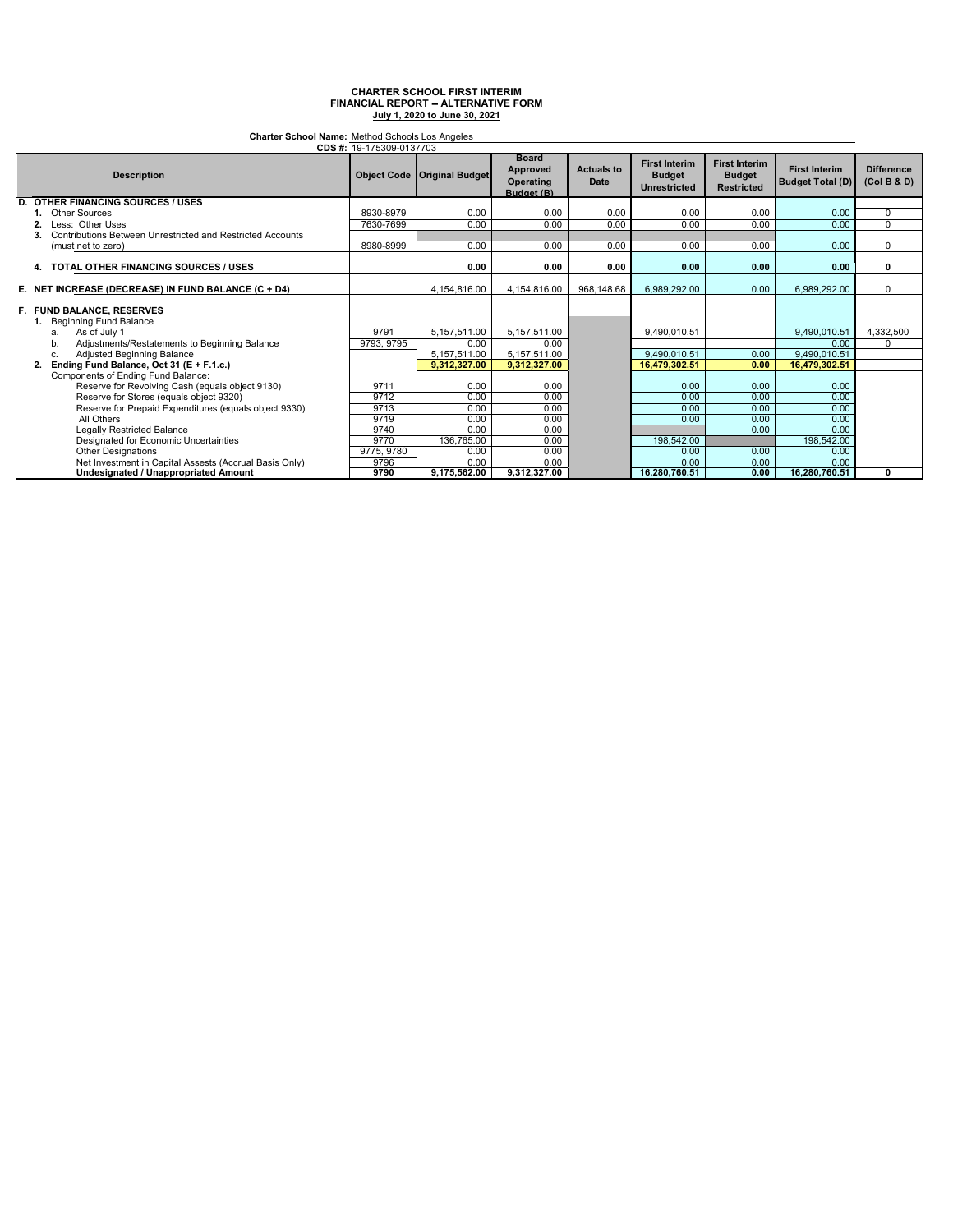**Charter School Name:** Method Schools Los Angeles

|     | CDS #: 19-175309-0137703                                   |            |                                      |                                                            |                           |                                                              |                                                            |                                                 |                                  |
|-----|------------------------------------------------------------|------------|--------------------------------------|------------------------------------------------------------|---------------------------|--------------------------------------------------------------|------------------------------------------------------------|-------------------------------------------------|----------------------------------|
|     | <b>Description</b>                                         |            | <b>Object Code   Original Budget</b> | <b>Board</b><br><b>Approved</b><br>Operating<br>Budget (B) | <b>Actuals to</b><br>Date | <b>First Interim</b><br><b>Budget</b><br><b>Unrestricted</b> | <b>First Interim</b><br><b>Budget</b><br><b>Restricted</b> | <b>First Interim</b><br><b>Budget Total (D)</b> | <b>Difference</b><br>(Col B & D) |
| D.  | <b>OTHER FINANCING SOURCES / USES</b>                      |            |                                      |                                                            |                           |                                                              |                                                            |                                                 |                                  |
|     | <b>Other Sources</b>                                       | 8930-8979  | 0.00                                 | 0.00                                                       | 0.00                      | 0.00                                                         | 0.00                                                       | 0.00                                            | $\Omega$                         |
|     | Less: Other Uses                                           | 7630-7699  | 0.00                                 | 0.00                                                       | 0.00                      | 0.00                                                         | 0.00                                                       | 0.00                                            | 0                                |
|     | Contributions Between Unrestricted and Restricted Accounts |            |                                      |                                                            |                           |                                                              |                                                            |                                                 |                                  |
|     | (must net to zero)                                         | 8980-8999  | 0.00                                 | 0.00                                                       | 0.00                      | 0.00                                                         | 0.00                                                       | 0.00                                            | $\Omega$                         |
|     | 4. TOTAL OTHER FINANCING SOURCES / USES                    |            | 0.00                                 | 0.00                                                       | 0.00                      | 0.00                                                         | 0.00                                                       | 0.00                                            | 0                                |
| E.  | NET INCREASE (DECREASE) IN FUND BALANCE (C + D4)           |            | 4,154,816.00                         | 4,154,816.00                                               | 968,148.68                | 6,989,292.00                                                 | 0.00                                                       | 6,989,292.00                                    | U                                |
| IF. | <b>FUND BALANCE, RESERVES</b><br>1. Beginning Fund Balance |            |                                      |                                                            |                           |                                                              |                                                            |                                                 |                                  |
|     | As of July 1<br>a.                                         | 9791       | 5,157,511.00                         | 5,157,511.00                                               |                           | 9,490,010.51                                                 |                                                            | 9,490,010.51                                    | 4,332,500                        |
|     | Adjustments/Restatements to Beginning Balance<br>b.        | 9793, 9795 | 0.00                                 | 0.00                                                       |                           |                                                              |                                                            | 0.00                                            |                                  |
|     | Adjusted Beginning Balance<br>c.                           |            | 5,157,511.00                         | 5,157,511.00                                               |                           | 9.490.010.51                                                 | 0.00                                                       | 9,490,010.51                                    |                                  |
|     | Ending Fund Balance, Oct 31 (E + F.1.c.)                   |            | 9.312.327.00                         | 9,312,327.00                                               |                           | 16,479,302.51                                                | 0.00                                                       | 16,479,302.51                                   |                                  |
|     | Components of Ending Fund Balance:                         |            |                                      |                                                            |                           |                                                              |                                                            |                                                 |                                  |
|     | Reserve for Revolving Cash (equals object 9130)            | 9711       | 0.00                                 | 0.00                                                       |                           | 0.00                                                         | 0.00                                                       | 0.00                                            |                                  |
|     | Reserve for Stores (equals object 9320)                    | 9712       | 0.00                                 | 0.00                                                       |                           | 0.00                                                         | 0.00                                                       | 0.00                                            |                                  |
|     | Reserve for Prepaid Expenditures (equals object 9330)      | 9713       | 0.00                                 | 0.00                                                       |                           | 0.00                                                         | 0.00                                                       | 0.00                                            |                                  |
|     | All Others                                                 | 9719       | 0.00                                 | 0.00                                                       |                           | 0.00                                                         | 0.00                                                       | 0.00                                            |                                  |
|     | Legally Restricted Balance                                 | 9740       | 0.00                                 | 0.00                                                       |                           |                                                              | 0.00                                                       | 0.00                                            |                                  |
|     | Designated for Economic Uncertainties                      | 9770       | 136,765.00                           | 0.00                                                       |                           | 198,542.00                                                   |                                                            | 198,542.00                                      |                                  |
|     | <b>Other Designations</b>                                  | 9775, 9780 | 0.00                                 | 0.00                                                       |                           | 0.00                                                         | 0.00                                                       | 0.00                                            |                                  |
|     | Net Investment in Capital Assests (Accrual Basis Only)     | 9796       | 0.00                                 | 0.00                                                       |                           | 0.00                                                         | 0.00                                                       | 0.00                                            |                                  |
|     | <b>Undesignated / Unappropriated Amount</b>                | 9790       | 9,175,562.00                         | 9,312,327.00                                               |                           | 16,280,760.51                                                | 0.00                                                       | 16,280,760.51                                   | 0                                |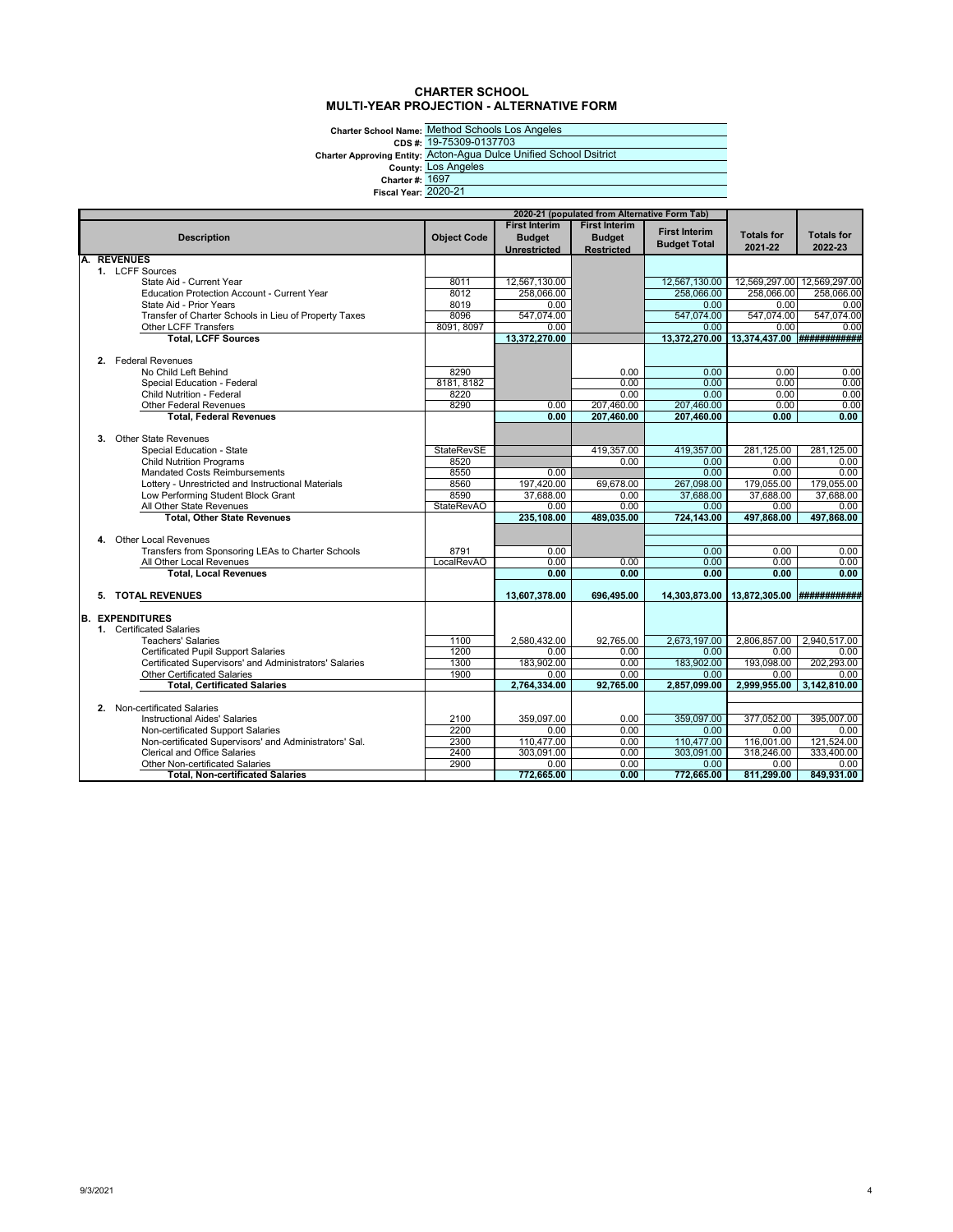#### **CHARTER SCHOOL MULTI-YEAR PROJECTION - ALTERNATIVE FORM**

Charter School Name: <u>Method</u><br>CDS #: <u>19-7530</u><br>Charter Approving Entity: <u>Lots And</u><br>County: <u>Lots And</u><br>Charter #: <u>1697</u><br>Fiscal Year: 2020-21

Method Schools Los Angeles 19-75309-0137703 Acton-Agua Dulce Unified School Dsitrict Los Angeles 1697

|                        | 2020-21 (populated from Alternative Form Tab)          |                    |                                                              |                                                            |                                             |                              |                              |
|------------------------|--------------------------------------------------------|--------------------|--------------------------------------------------------------|------------------------------------------------------------|---------------------------------------------|------------------------------|------------------------------|
|                        | <b>Description</b>                                     | <b>Object Code</b> | <b>First Interim</b><br><b>Budget</b><br><b>Unrestricted</b> | <b>First Interim</b><br><b>Budget</b><br><b>Restricted</b> | <b>First Interim</b><br><b>Budget Total</b> | <b>Totals for</b><br>2021-22 | <b>Totals for</b><br>2022-23 |
| <b>REVENUES</b>        |                                                        |                    |                                                              |                                                            |                                             |                              |                              |
|                        | 1. LCFF Sources                                        |                    |                                                              |                                                            |                                             |                              |                              |
|                        | State Aid - Current Year                               | 8011               | 12,567,130.00                                                |                                                            | 12,567,130.00                               |                              | 12,569,297.00 12,569,297.00  |
|                        | <b>Education Protection Account - Current Year</b>     | 8012               | 258,066.00                                                   |                                                            | 258.066.00                                  | 258.066.00                   | 258.066.00                   |
|                        | State Aid - Prior Years                                | 8019               | 0.00                                                         |                                                            | 0.00                                        | 0.00                         | 0.00                         |
|                        | Transfer of Charter Schools in Lieu of Property Taxes  | 8096               | 547.074.00                                                   |                                                            | 547.074.00                                  | 547.074.00                   | 547.074.00                   |
|                        | Other LCFF Transfers                                   | 8091, 8097         | 0.00                                                         |                                                            | 0.00                                        | 0.00                         | 0.00                         |
|                        | <b>Total, LCFF Sources</b>                             |                    | 13,372,270.00                                                |                                                            | 13,372,270.00                               | 13,374,437.00 ############   |                              |
|                        | 2. Federal Revenues                                    |                    |                                                              |                                                            |                                             |                              |                              |
|                        | No Child Left Behind                                   | 8290               |                                                              | 0.00                                                       | 0.00                                        | 0.00                         | 0.00                         |
|                        | Special Education - Federal                            | 8181, 8182         |                                                              | 0.00                                                       | 0.00                                        | 0.00                         | 0.00                         |
|                        | <b>Child Nutrition - Federal</b>                       | 8220               |                                                              | 0.00                                                       | 0.00                                        | 0.00                         | 0.00                         |
|                        | <b>Other Federal Revenues</b>                          | 8290               | 0.00                                                         | 207,460.00                                                 | 207,460.00                                  | 0.00                         | 0.00                         |
|                        | <b>Total, Federal Revenues</b>                         |                    | 0.00                                                         | 207.460.00                                                 | 207.460.00                                  | 0.00                         | 0.00                         |
|                        |                                                        |                    |                                                              |                                                            |                                             |                              |                              |
| 3.                     | <b>Other State Revenues</b>                            |                    |                                                              |                                                            |                                             |                              |                              |
|                        | Special Education - State                              | <b>StateRevSE</b>  |                                                              | 419,357.00                                                 | 419,357.00                                  | 281,125.00                   | 281,125.00                   |
|                        | <b>Child Nutrition Programs</b>                        | 8520               |                                                              | 0.00                                                       | 0.00                                        | 0.00                         | 0.00                         |
|                        | Mandated Costs Reimbursements                          | 8550               | 0.00                                                         |                                                            | 0.00                                        | 0.00                         | 0.00                         |
|                        | Lottery - Unrestricted and Instructional Materials     | 8560               | 197,420.00                                                   | 69,678.00                                                  | 267,098.00                                  | 179,055.00                   | 179,055.00                   |
|                        | Low Performing Student Block Grant                     | 8590               | 37,688.00                                                    | 0.00                                                       | 37,688.00                                   | 37,688.00                    | 37,688.00                    |
|                        | All Other State Revenues                               | <b>StateRevAO</b>  | 0.00                                                         | 0.00                                                       | 0.00                                        | 0.00                         | 0.00                         |
|                        | <b>Total, Other State Revenues</b>                     |                    | 235.108.00                                                   | 489.035.00                                                 | 724.143.00                                  | 497.868.00                   | 497.868.00                   |
|                        |                                                        |                    |                                                              |                                                            |                                             |                              |                              |
|                        | 4. Other Local Revenues                                |                    |                                                              |                                                            |                                             |                              |                              |
|                        | Transfers from Sponsoring LEAs to Charter Schools      | 8791               | 0.00                                                         |                                                            | 0.00                                        | 0.00                         | 0.00                         |
|                        | All Other Local Revenues                               | LocalRevAO         | 0.00                                                         | 0.00                                                       | 0.00                                        | 0.00                         | 0.00                         |
|                        | <b>Total, Local Revenues</b>                           |                    | 0.00                                                         | 0.00                                                       | 0.00                                        | 0.00                         | 0.00                         |
|                        |                                                        |                    |                                                              |                                                            |                                             | 13,872,305.00 ############   |                              |
|                        | 5. TOTAL REVENUES                                      |                    | 13,607,378.00                                                | 696,495.00                                                 | 14,303,873.00                               |                              |                              |
| <b>B. EXPENDITURES</b> |                                                        |                    |                                                              |                                                            |                                             |                              |                              |
|                        | 1. Certificated Salaries                               |                    |                                                              |                                                            |                                             |                              |                              |
|                        | <b>Teachers' Salaries</b>                              | 1100               | 2,580,432.00                                                 | 92,765.00                                                  | 2.673.197.00                                | 2,806,857.00                 | 2,940,517.00                 |
|                        | <b>Certificated Pupil Support Salaries</b>             | 1200               | 0.00                                                         | 0.00                                                       | 0.00                                        | 0.00                         | 0.00                         |
|                        | Certificated Supervisors' and Administrators' Salaries | 1300               | 183.902.00                                                   | 0.00                                                       | 183,902.00                                  | 193.098.00                   | 202.293.00                   |
|                        | <b>Other Certificated Salaries</b>                     | 1900               | 0.00                                                         | 0.00                                                       | 0.00                                        | 0.00                         | 0.00                         |
|                        | <b>Total. Certificated Salaries</b>                    |                    | 2.764.334.00                                                 | 92.765.00                                                  | 2.857.099.00                                | 2.999.955.00                 | 3.142.810.00                 |
|                        |                                                        |                    |                                                              |                                                            |                                             |                              |                              |
|                        | 2. Non-certificated Salaries                           |                    |                                                              |                                                            |                                             |                              |                              |
|                        | <b>Instructional Aides' Salaries</b>                   | 2100               | 359,097.00                                                   | 0.00                                                       | 359.097.00                                  | 377,052.00                   | 395.007.00                   |
|                        | Non-certificated Support Salaries                      | 2200               | 0.00                                                         | 0.00                                                       | 0.00                                        | 0.00                         | 0.00                         |
|                        | Non-certificated Supervisors' and Administrators' Sal. | 2300               | 110,477.00                                                   | 0.00                                                       | 110,477.00                                  | 116,001.00                   | 121,524.00                   |
|                        | <b>Clerical and Office Salaries</b>                    | 2400               | 303,091.00                                                   | 0.00                                                       | 303,091.00                                  | 318,246.00                   | 333,400.00                   |
|                        | <b>Other Non-certificated Salaries</b>                 | 2900               | 0.00                                                         | 0.00                                                       | 0.00                                        | 0.00                         | 0.00                         |
|                        | <b>Total. Non-certificated Salaries</b>                |                    | 772,665.00                                                   | 0.00                                                       | 772.665.00                                  | 811,299.00                   | 849,931.00                   |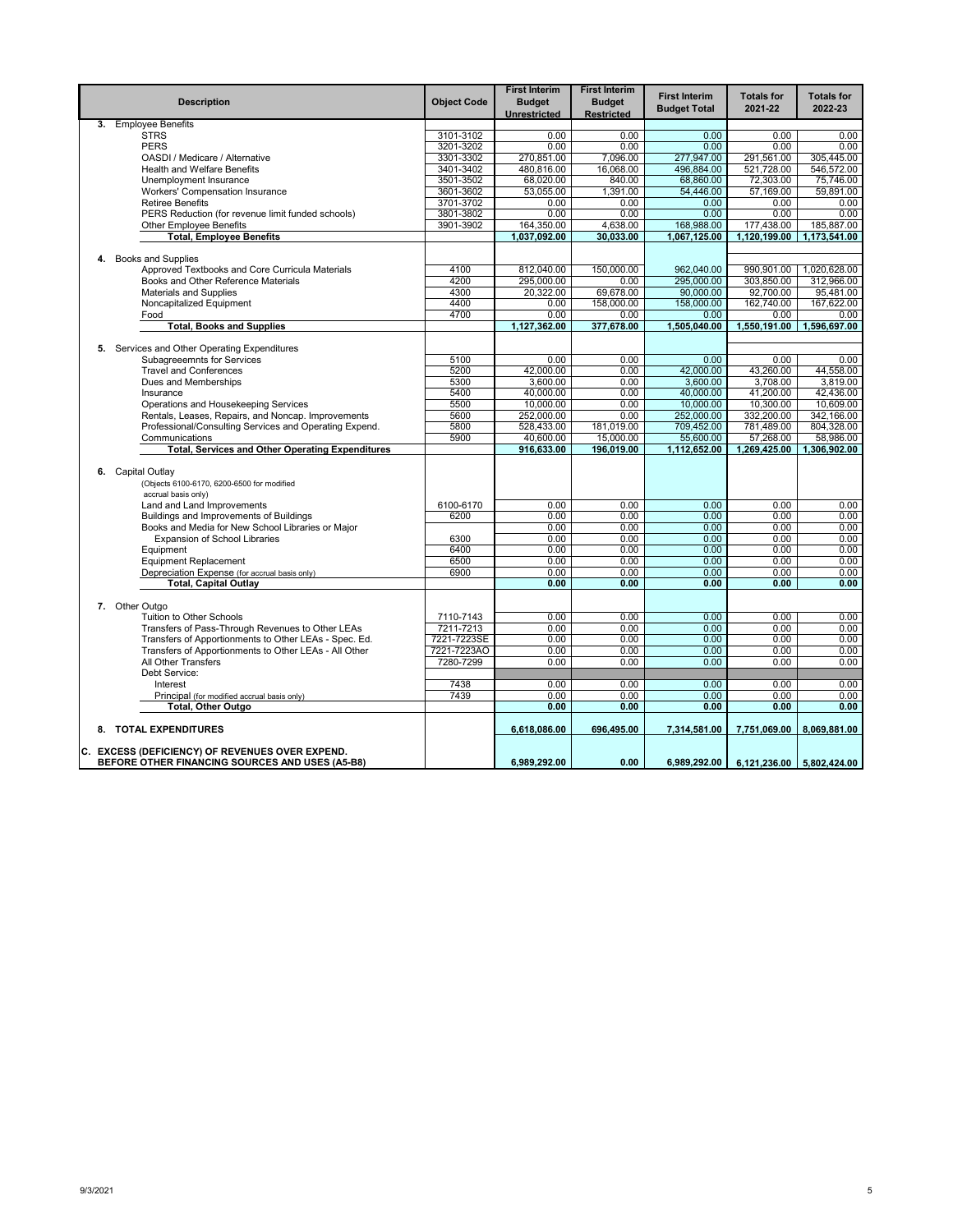|    | <b>Description</b>                                                                                 | <b>Object Code</b> | <b>First Interim</b><br><b>Budget</b><br>Unrestricted | <b>First Interim</b><br><b>Budget</b><br><b>Restricted</b> | <b>First Interim</b><br><b>Budget Total</b> | <b>Totals for</b><br>2021-22 | <b>Totals for</b><br>2022-23 |
|----|----------------------------------------------------------------------------------------------------|--------------------|-------------------------------------------------------|------------------------------------------------------------|---------------------------------------------|------------------------------|------------------------------|
| 3. | <b>Employee Benefits</b>                                                                           |                    |                                                       |                                                            |                                             |                              |                              |
|    | <b>STRS</b>                                                                                        | 3101-3102          | 0.00                                                  | 0.00                                                       | 0.00                                        | 0.00                         | 0.00                         |
|    | <b>PERS</b>                                                                                        | 3201-3202          | 0.00                                                  | 0.00                                                       | 0.00                                        | 0.00                         | 0.00                         |
|    | OASDI / Medicare / Alternative                                                                     | 3301-3302          | 270,851.00                                            | 7,096.00                                                   | 277,947.00                                  | 291,561.00                   | 305,445.00                   |
|    | <b>Health and Welfare Benefits</b>                                                                 | 3401-3402          | 480,816.00                                            | 16.068.00                                                  | 496.884.00                                  | 521,728.00                   | 546.572.00                   |
|    | Unemployment Insurance                                                                             | 3501-3502          | 68,020.00                                             | 840.00                                                     | 68,860.00                                   | 72,303.00                    | 75,746.00                    |
|    | Workers' Compensation Insurance                                                                    | 3601-3602          | 53,055.00                                             | 1,391.00                                                   | 54,446.00                                   | 57,169.00                    | 59,891.00                    |
|    | <b>Retiree Benefits</b>                                                                            | 3701-3702          | 0.00                                                  | 0.00                                                       | 0.00                                        | 0.00                         | 0.00                         |
|    | PERS Reduction (for revenue limit funded schools)                                                  | 3801-3802          | 0.00                                                  | 0.00                                                       | 0.00                                        | 0.00                         | 0.00                         |
|    | <b>Other Employee Benefits</b>                                                                     | 3901-3902          | 164,350.00                                            | 4,638.00                                                   | 168,988.00                                  | 177,438.00                   | 185,887.00                   |
|    | <b>Total, Employee Benefits</b>                                                                    |                    | 1,037,092.00                                          | 30,033.00                                                  | 1,067,125.00                                | 1,120,199.00                 | 1,173,541.00                 |
|    | 4. Books and Supplies                                                                              |                    |                                                       |                                                            |                                             |                              |                              |
|    | Approved Textbooks and Core Curricula Materials                                                    | 4100               | 812,040.00                                            | 150,000.00                                                 | 962,040.00                                  | 990,901.00                   | 1,020,628.00                 |
|    | Books and Other Reference Materials                                                                | 4200               | 295,000.00                                            | 0.00                                                       | 295,000.00                                  | 303,850.00                   | 312,966.00                   |
|    | <b>Materials and Supplies</b>                                                                      | 4300               | 20,322.00                                             | 69,678.00                                                  | 90,000.00                                   | 92,700.00                    | 95,481.00                    |
|    | Noncapitalized Equipment                                                                           | 4400               | 0.00                                                  | 158,000.00                                                 | 158,000,00                                  | 162,740.00                   | 167.622.00                   |
|    | Food                                                                                               | 4700               | 0.00                                                  | 0.00                                                       | 0.00                                        | 0.00                         | 0.00                         |
|    | <b>Total, Books and Supplies</b>                                                                   |                    | 1,127,362.00                                          | 377,678.00                                                 | 1,505,040.00                                | 1,550,191.00                 | 1,596,697.00                 |
|    |                                                                                                    |                    |                                                       |                                                            |                                             |                              |                              |
|    | 5. Services and Other Operating Expenditures                                                       |                    |                                                       |                                                            |                                             |                              |                              |
|    | <b>Subagreeemnts for Services</b>                                                                  | 5100               | 0.00                                                  | 0.00                                                       | 0.00                                        | 0.00                         | 0.00                         |
|    | <b>Travel and Conferences</b>                                                                      | 5200               | 42,000.00                                             | 0.00                                                       | 42,000.00                                   | 43,260.00                    | 44,558.00                    |
|    | Dues and Memberships                                                                               | 5300               | 3.600.00                                              | 0.00                                                       | 3.600.00                                    | 3.708.00                     | 3.819.00                     |
|    | Insurance                                                                                          | 5400               | 40,000.00                                             | 0.00                                                       | 40,000.00                                   | 41,200.00                    | 42,436.00                    |
|    | Operations and Housekeeping Services                                                               | 5500               | 10,000.00                                             | 0.00                                                       | 10,000.00                                   | 10,300.00                    | 10,609.00                    |
|    | Rentals, Leases, Repairs, and Noncap. Improvements                                                 | 5600               | 252,000.00                                            | 0.00                                                       | 252,000.00                                  | 332,200.00                   | 342,166.00                   |
|    | Professional/Consulting Services and Operating Expend.                                             | 5800               | 528,433.00                                            | 181,019.00                                                 | 709,452.00                                  | 781,489.00                   | 804,328.00                   |
|    | Communications                                                                                     | 5900               | 40,600.00                                             | 15,000.00                                                  | 55,600.00                                   | 57,268.00                    | 58,986.00                    |
|    | <b>Total, Services and Other Operating Expenditures</b>                                            |                    | 916,633.00                                            | 196,019.00                                                 | 1,112,652.00                                | 1,269,425.00                 | 1,306,902.00                 |
| 6. | Capital Outlay<br>(Objects 6100-6170, 6200-6500 for modified                                       |                    |                                                       |                                                            |                                             |                              |                              |
|    | accrual basis only)                                                                                | 6100-6170          |                                                       | 0.00                                                       |                                             |                              |                              |
|    | Land and Land Improvements                                                                         |                    | 0.00                                                  |                                                            | 0.00                                        | 0.00                         | 0.00                         |
|    | Buildings and Improvements of Buildings                                                            | 6200               | 0.00<br>0.00                                          | 0.00<br>0.00                                               | 0.00                                        | 0.00<br>0.00                 | 0.00                         |
|    | Books and Media for New School Libraries or Major<br><b>Expansion of School Libraries</b>          | 6300               | 0.00                                                  | 0.00                                                       | 0.00<br>0.00                                | 0.00                         | 0.00<br>0.00                 |
|    | Equipment                                                                                          | 6400               | 0.00                                                  | 0.00                                                       | 0.00                                        | 0.00                         | 0.00                         |
|    | <b>Equipment Replacement</b>                                                                       | 6500               | 0.00                                                  | 0.00                                                       | 0.00                                        | 0.00                         | 0.00                         |
|    | Depreciation Expense (for accrual basis only)                                                      | 6900               | 0.00                                                  | 0.00                                                       | 0.00                                        | 0.00                         | 0.00                         |
|    | <b>Total, Capital Outlay</b>                                                                       |                    | 0.00                                                  | 0.00                                                       | 0.00                                        | 0.00                         | 0.00                         |
|    |                                                                                                    |                    |                                                       |                                                            |                                             |                              |                              |
|    | 7. Other Outgo                                                                                     |                    |                                                       |                                                            |                                             |                              |                              |
|    | <b>Tuition to Other Schools</b>                                                                    | 7110-7143          | 0.00                                                  | 0.00                                                       | 0.00                                        | 0.00                         | 0.00                         |
|    | Transfers of Pass-Through Revenues to Other LEAs                                                   | 7211-7213          | 0.00                                                  | 0.00                                                       | 0.00                                        | 0.00                         | 0.00                         |
|    | Transfers of Apportionments to Other LEAs - Spec. Ed.                                              | 7221-7223SE        | 0.00                                                  | 0.00                                                       | 0.00                                        | 0.00                         | 0.00                         |
|    | Transfers of Apportionments to Other LEAs - All Other                                              | 7221-7223AO        | 0.00                                                  | 0.00                                                       | 0.00                                        | 0.00                         | 0.00                         |
|    | All Other Transfers                                                                                | 7280-7299          | 0.00                                                  | 0.00                                                       | 0.00                                        | 0.00                         | 0.00                         |
|    | Debt Service:                                                                                      |                    |                                                       |                                                            |                                             |                              |                              |
|    | Interest                                                                                           | 7438               | 0.00                                                  | 0.00                                                       | 0.00                                        | 0.00                         | 0.00                         |
|    | Principal (for modified accrual basis only)                                                        | 7439               | 0.00                                                  | 0.00                                                       | 0.00                                        | 0.00                         | 0.00                         |
|    | Total, Other Outgo                                                                                 |                    | 0.00                                                  | 0.00                                                       | 0.00                                        | 0.00                         | 0.00                         |
|    | 8. TOTAL EXPENDITURES                                                                              |                    | 6.618.086.00                                          | 696,495.00                                                 | 7.314.581.00                                | 7,751,069.00                 | 8,069,881.00                 |
|    | C. EXCESS (DEFICIENCY) OF REVENUES OVER EXPEND.<br>BEFORE OTHER FINANCING SOURCES AND USES (A5-B8) |                    | 6,989,292.00                                          | 0.00                                                       | 6,989,292.00                                | 6,121,236.00                 | 5,802,424.00                 |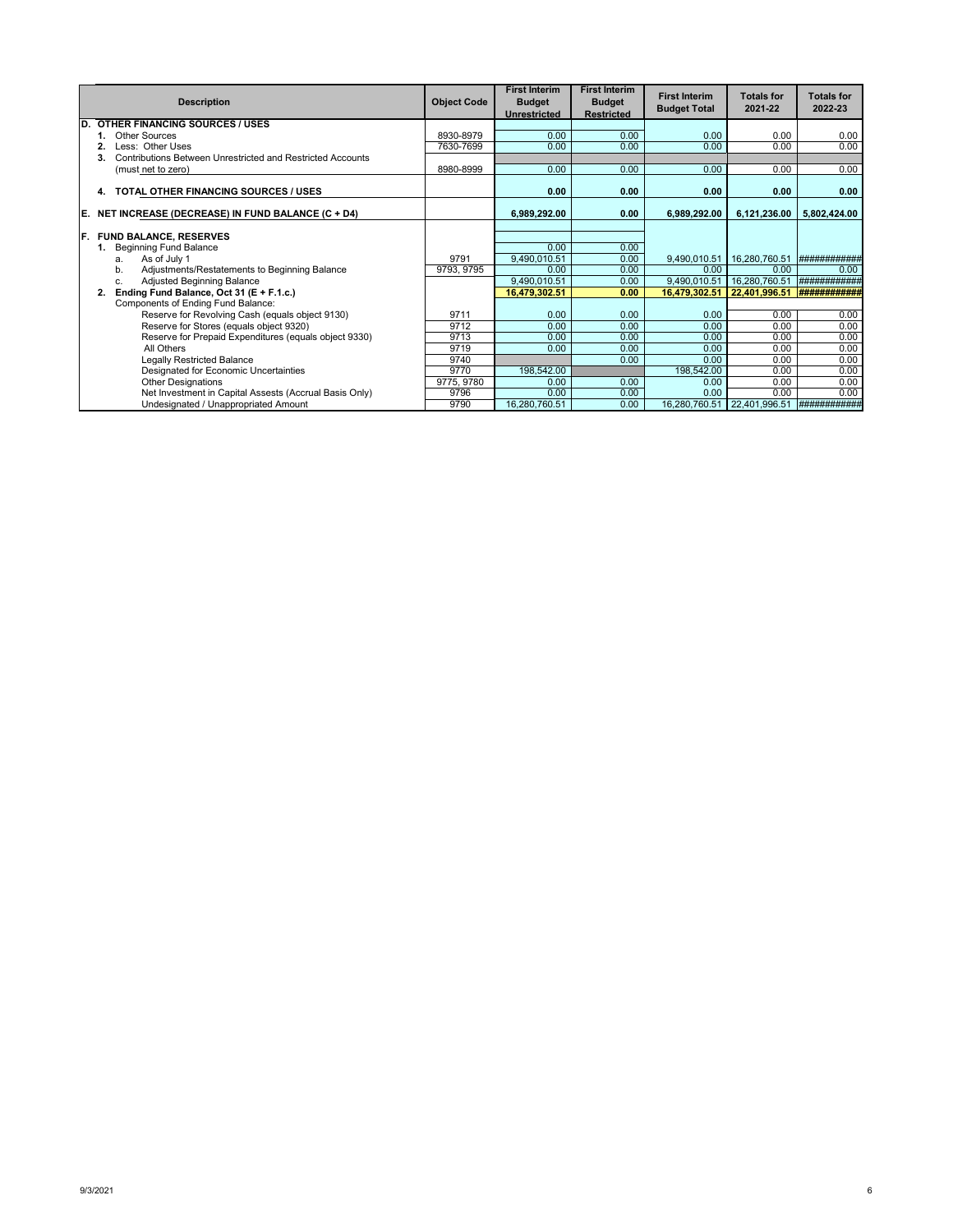|     | <b>Description</b>                                               | <b>Object Code</b> | <b>First Interim</b><br><b>Budget</b><br><b>Unrestricted</b> | <b>First Interim</b><br><b>Budget</b><br><b>Restricted</b> | <b>First Interim</b><br><b>Budget Total</b> | <b>Totals for</b><br>2021-22 | <b>Totals for</b><br>2022-23 |
|-----|------------------------------------------------------------------|--------------------|--------------------------------------------------------------|------------------------------------------------------------|---------------------------------------------|------------------------------|------------------------------|
| D.  | <b>OTHER FINANCING SOURCES / USES</b>                            |                    |                                                              |                                                            |                                             |                              |                              |
|     | Other Sources                                                    | 8930-8979          | 0.00                                                         | 0.00                                                       | 0.00                                        | 0.00                         | 0.00                         |
|     | Less: Other Uses                                                 | 7630-7699          | 0.00                                                         | 0.00                                                       | 0.00                                        | 0.00                         | 0.00                         |
|     | Contributions Between Unrestricted and Restricted Accounts<br>3. |                    |                                                              |                                                            |                                             |                              |                              |
|     | (must net to zero)                                               | 8980-8999          | 0.00                                                         | 0.00                                                       | 0.00                                        | 0.00                         | 0.00                         |
|     | TOTAL OTHER FINANCING SOURCES / USES<br>4.                       |                    | 0.00                                                         | 0.00                                                       | 0.00                                        | 0.00                         | 0.00                         |
| IE. | NET INCREASE (DECREASE) IN FUND BALANCE (C + D4)                 |                    | 6,989,292.00                                                 | 0.00                                                       | 6,989,292.00                                | 6,121,236.00                 | 5,802,424.00                 |
| IF. | <b>FUND BALANCE, RESERVES</b>                                    |                    |                                                              |                                                            |                                             |                              |                              |
|     | <b>Beginning Fund Balance</b>                                    |                    | 0.00                                                         | 0.00                                                       |                                             |                              |                              |
|     | As of July 1<br>a.                                               | 9791               | 9,490,010.51                                                 | 0.00                                                       | 9,490,010.51                                | 16,280,760.51                | ###########                  |
|     | Adjustments/Restatements to Beginning Balance<br>b.              | 9793, 9795         | 0.00                                                         | 0.00                                                       | 0.00                                        | 0.00                         | 0.00                         |
|     | Adjusted Beginning Balance<br>C.                                 |                    | 9,490,010.51                                                 | 0.00                                                       | 9,490,010.51                                | 16,280,760.51                | ###########                  |
|     | Ending Fund Balance, Oct 31 (E + F.1.c.)<br>2.                   |                    | 16.479.302.51                                                | 0.00                                                       | 16.479.302.51                               | 22,401,996.51                |                              |
|     | Components of Ending Fund Balance:                               |                    |                                                              |                                                            |                                             |                              |                              |
|     | Reserve for Revolving Cash (equals object 9130)                  | 9711               | 0.00                                                         | 0.00                                                       | 0.00                                        | 0.00                         | 0.00                         |
|     | Reserve for Stores (equals object 9320)                          | 9712               | 0.00                                                         | 0.00                                                       | 0.00                                        | 0.00                         | 0.00                         |
|     | Reserve for Prepaid Expenditures (equals object 9330)            | 9713               | 0.00                                                         | 0.00                                                       | 0.00                                        | 0.00                         | 0.00                         |
|     | All Others                                                       | 9719               | 0.00                                                         | 0.00                                                       | 0.00                                        | 0.00                         | 0.00                         |
|     | <b>Legally Restricted Balance</b>                                | 9740               |                                                              | 0.00                                                       | 0.00                                        | 0.00                         | 0.00                         |
|     | Designated for Economic Uncertainties                            | 9770               | 198,542.00                                                   |                                                            | 198,542.00                                  | 0.00                         | 0.00                         |
|     | <b>Other Designations</b>                                        | 9775, 9780         | 0.00                                                         | 0.00                                                       | 0.00                                        | 0.00                         | 0.00                         |
|     | Net Investment in Capital Assests (Accrual Basis Only)           | 9796               | 0.00                                                         | 0.00                                                       | 0.00                                        | 0.00                         | 0.00                         |
|     | Undesignated / Unappropriated Amount                             | 9790               | 16,280,760.51                                                | 0.00                                                       | 16,280,760.51                               | 22,401,996.51                | ############                 |